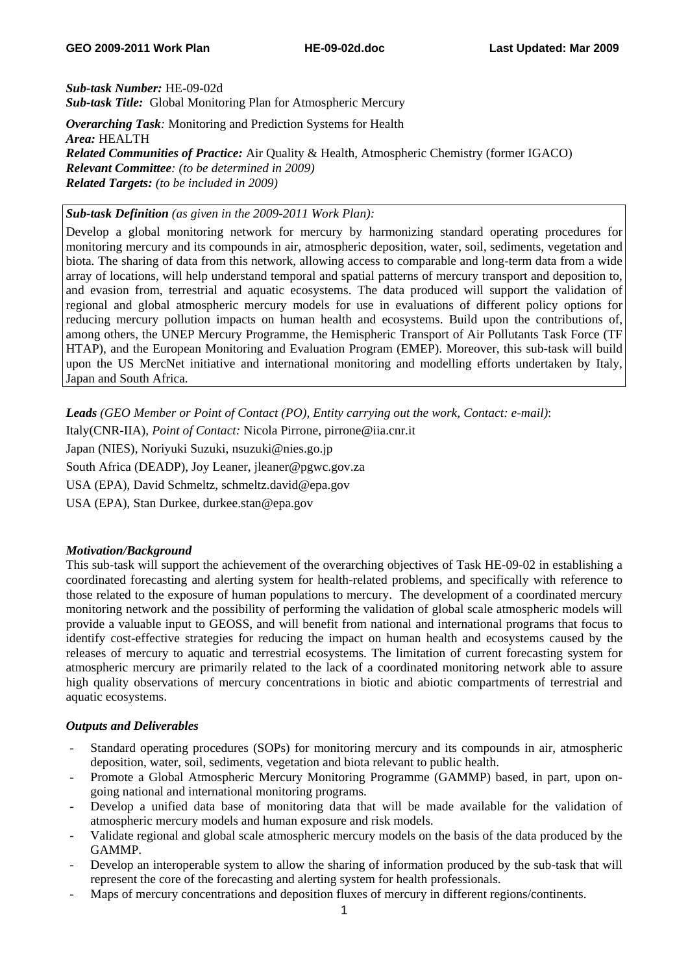*Sub-task Number:* HE-09-02d *Sub-task Title:* Global Monitoring Plan for Atmospheric Mercury

*Overarching Task:* Monitoring and Prediction Systems for Health *Area:* HEALTH *Related Communities of Practice:* Air Quality & Health, Atmospheric Chemistry (former IGACO) *Relevant Committee: (to be determined in 2009) Related Targets: (to be included in 2009)* 

## *Sub-task Definition (as given in the 2009-2011 Work Plan):*

Develop a global monitoring network for mercury by harmonizing standard operating procedures for monitoring mercury and its compounds in air, atmospheric deposition, water, soil, sediments, vegetation and biota. The sharing of data from this network, allowing access to comparable and long-term data from a wide array of locations, will help understand temporal and spatial patterns of mercury transport and deposition to, and evasion from, terrestrial and aquatic ecosystems. The data produced will support the validation of regional and global atmospheric mercury models for use in evaluations of different policy options for reducing mercury pollution impacts on human health and ecosystems. Build upon the contributions of, among others, the UNEP Mercury Programme, the Hemispheric Transport of Air Pollutants Task Force (TF HTAP), and the European Monitoring and Evaluation Program (EMEP). Moreover, this sub-task will build upon the US MercNet initiative and international monitoring and modelling efforts undertaken by Italy, Japan and South Africa.

*Leads (GEO Member or Point of Contact (PO), Entity carrying out the work, Contact: e-mail)*:

Italy(CNR-IIA), *Point of Contact:* Nicola Pirrone, pirrone@iia.cnr.it

Japan (NIES), Noriyuki Suzuki, nsuzuki@nies.go.jp

South Africa (DEADP), Joy Leaner, jleaner@pgwc.gov.za

USA (EPA), David Schmeltz, schmeltz.david@epa.gov

USA (EPA), Stan Durkee, durkee.stan@epa.gov

### *Motivation/Background*

This sub-task will support the achievement of the overarching objectives of Task HE-09-02 in establishing a coordinated forecasting and alerting system for health-related problems, and specifically with reference to those related to the exposure of human populations to mercury. The development of a coordinated mercury monitoring network and the possibility of performing the validation of global scale atmospheric models will provide a valuable input to GEOSS, and will benefit from national and international programs that focus to identify cost-effective strategies for reducing the impact on human health and ecosystems caused by the releases of mercury to aquatic and terrestrial ecosystems. The limitation of current forecasting system for atmospheric mercury are primarily related to the lack of a coordinated monitoring network able to assure high quality observations of mercury concentrations in biotic and abiotic compartments of terrestrial and aquatic ecosystems.

## *Outputs and Deliverables*

- Standard operating procedures (SOPs) for monitoring mercury and its compounds in air, atmospheric deposition, water, soil, sediments, vegetation and biota relevant to public health.
- Promote a Global Atmospheric Mercury Monitoring Programme (GAMMP) based, in part, upon ongoing national and international monitoring programs.
- Develop a unified data base of monitoring data that will be made available for the validation of atmospheric mercury models and human exposure and risk models.
- Validate regional and global scale atmospheric mercury models on the basis of the data produced by the GAMMP.
- Develop an interoperable system to allow the sharing of information produced by the sub-task that will represent the core of the forecasting and alerting system for health professionals.
- Maps of mercury concentrations and deposition fluxes of mercury in different regions/continents.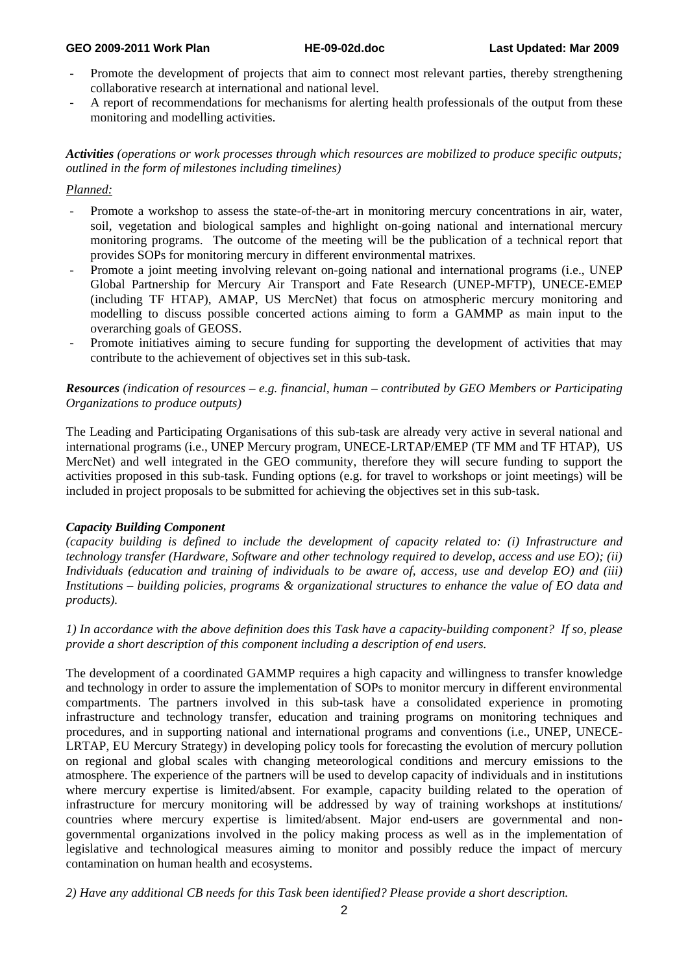#### **GEO 2009-2011 Work Plan HE-09-02d.doc Last Updated: Mar 2009**

- Promote the development of projects that aim to connect most relevant parties, thereby strengthening collaborative research at international and national level.
- A report of recommendations for mechanisms for alerting health professionals of the output from these monitoring and modelling activities.

*Activities (operations or work processes through which resources are mobilized to produce specific outputs; outlined in the form of milestones including timelines)* 

### *Planned:*

- Promote a workshop to assess the state-of-the-art in monitoring mercury concentrations in air, water, soil, vegetation and biological samples and highlight on-going national and international mercury monitoring programs. The outcome of the meeting will be the publication of a technical report that provides SOPs for monitoring mercury in different environmental matrixes.
- Promote a joint meeting involving relevant on-going national and international programs (i.e., UNEP Global Partnership for Mercury Air Transport and Fate Research (UNEP-MFTP), UNECE-EMEP (including TF HTAP), AMAP, US MercNet) that focus on atmospheric mercury monitoring and modelling to discuss possible concerted actions aiming to form a GAMMP as main input to the overarching goals of GEOSS.
- Promote initiatives aiming to secure funding for supporting the development of activities that may contribute to the achievement of objectives set in this sub-task.

#### *Resources (indication of resources – e.g. financial, human – contributed by GEO Members or Participating Organizations to produce outputs)*

The Leading and Participating Organisations of this sub-task are already very active in several national and international programs (i.e., UNEP Mercury program, UNECE-LRTAP/EMEP (TF MM and TF HTAP), US MercNet) and well integrated in the GEO community, therefore they will secure funding to support the activities proposed in this sub-task. Funding options (e.g. for travel to workshops or joint meetings) will be included in project proposals to be submitted for achieving the objectives set in this sub-task.

### *Capacity Building Component*

*(capacity building is defined to include the development of capacity related to: (i) Infrastructure and technology transfer (Hardware, Software and other technology required to develop, access and use EO); (ii) Individuals (education and training of individuals to be aware of, access, use and develop EO) and (iii) Institutions – building policies, programs & organizational structures to enhance the value of EO data and products).* 

*1) In accordance with the above definition does this Task have a capacity-building component? If so, please provide a short description of this component including a description of end users.* 

The development of a coordinated GAMMP requires a high capacity and willingness to transfer knowledge and technology in order to assure the implementation of SOPs to monitor mercury in different environmental compartments. The partners involved in this sub-task have a consolidated experience in promoting infrastructure and technology transfer, education and training programs on monitoring techniques and procedures, and in supporting national and international programs and conventions (i.e., UNEP, UNECE-LRTAP, EU Mercury Strategy) in developing policy tools for forecasting the evolution of mercury pollution on regional and global scales with changing meteorological conditions and mercury emissions to the atmosphere. The experience of the partners will be used to develop capacity of individuals and in institutions where mercury expertise is limited/absent. For example, capacity building related to the operation of infrastructure for mercury monitoring will be addressed by way of training workshops at institutions/ countries where mercury expertise is limited/absent. Major end-users are governmental and nongovernmental organizations involved in the policy making process as well as in the implementation of legislative and technological measures aiming to monitor and possibly reduce the impact of mercury contamination on human health and ecosystems.

*2) Have any additional CB needs for this Task been identified? Please provide a short description.*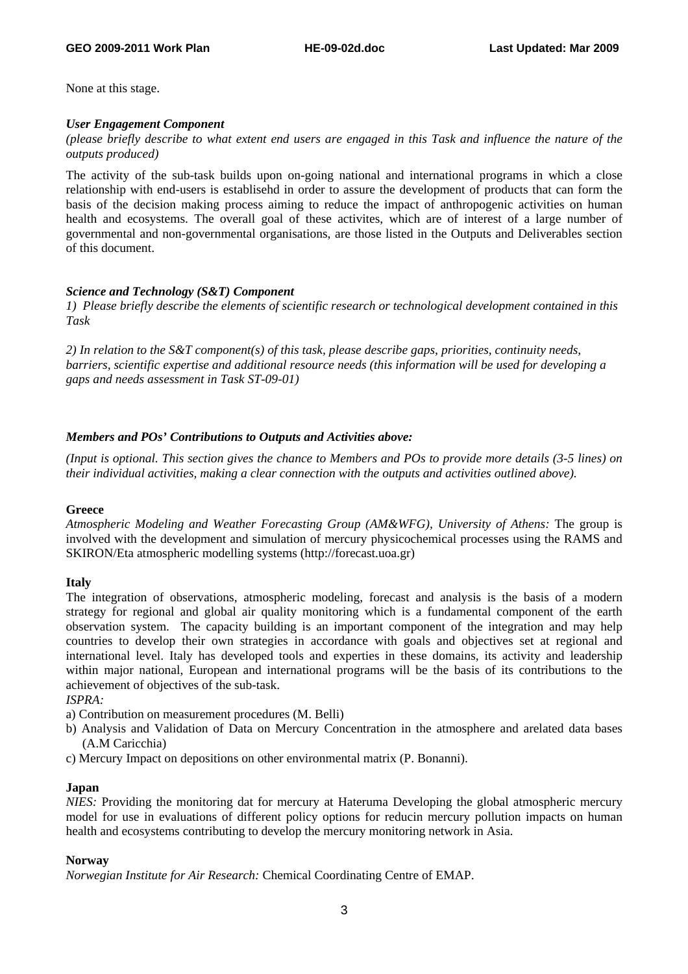None at this stage.

### *User Engagement Component*

*(please briefly describe to what extent end users are engaged in this Task and influence the nature of the outputs produced)* 

The activity of the sub-task builds upon on-going national and international programs in which a close relationship with end-users is establisehd in order to assure the development of products that can form the basis of the decision making process aiming to reduce the impact of anthropogenic activities on human health and ecosystems. The overall goal of these activites, which are of interest of a large number of governmental and non-governmental organisations, are those listed in the Outputs and Deliverables section of this document.

## *Science and Technology (S&T) Component*

*1) Please briefly describe the elements of scientific research or technological development contained in this Task* 

*2) In relation to the S&T component(s) of this task, please describe gaps, priorities, continuity needs, barriers, scientific expertise and additional resource needs (this information will be used for developing a gaps and needs assessment in Task ST-09-01)*

## *Members and POs' Contributions to Outputs and Activities above:*

*(Input is optional. This section gives the chance to Members and POs to provide more details (3-5 lines) on their individual activities, making a clear connection with the outputs and activities outlined above).* 

### **Greece**

*Atmospheric Modeling and Weather Forecasting Group (AM&WFG), University of Athens:* The group is involved with the development and simulation of mercury physicochemical processes using the RAMS and SKIRON/Eta atmospheric modelling systems (http://forecast.uoa.gr)

### **Italy**

The integration of observations, atmospheric modeling, forecast and analysis is the basis of a modern strategy for regional and global air quality monitoring which is a fundamental component of the earth observation system. The capacity building is an important component of the integration and may help countries to develop their own strategies in accordance with goals and objectives set at regional and international level. Italy has developed tools and experties in these domains, its activity and leadership within major national, European and international programs will be the basis of its contributions to the achievement of objectives of the sub-task.

*ISPRA:*

- a) Contribution on measurement procedures (M. Belli)
- b) Analysis and Validation of Data on Mercury Concentration in the atmosphere and arelated data bases (A.M Caricchia)
- c) Mercury Impact on depositions on other environmental matrix (P. Bonanni).

### **Japan**

*NIES:* Providing the monitoring dat for mercury at Hateruma Developing the global atmospheric mercury model for use in evaluations of different policy options for reducin mercury pollution impacts on human health and ecosystems contributing to develop the mercury monitoring network in Asia.

### **Norway**

*Norwegian Institute for Air Research:* Chemical Coordinating Centre of EMAP.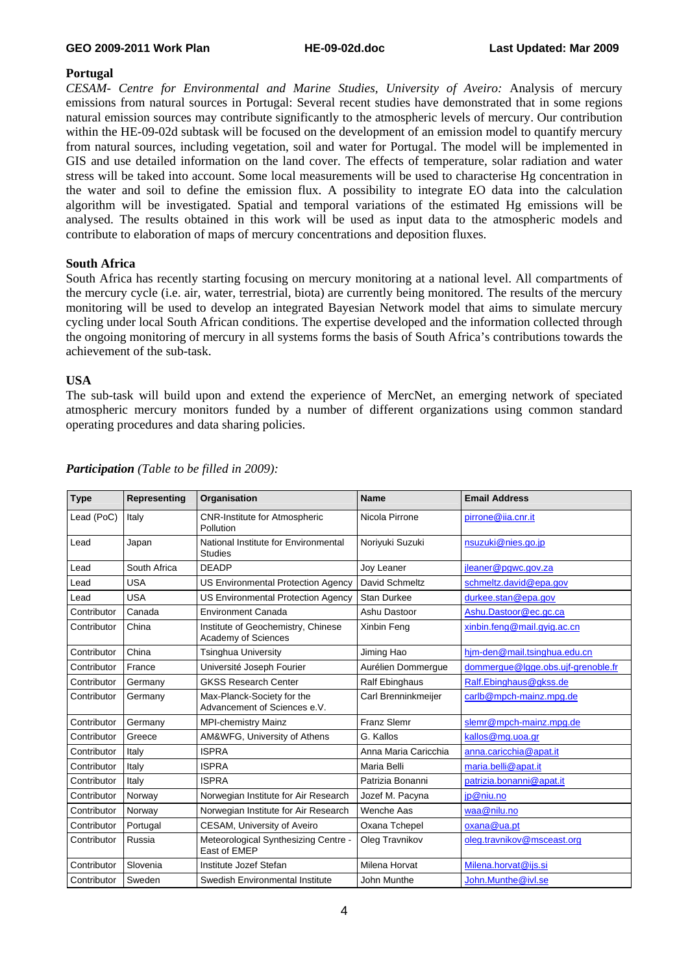#### **GEO 2009-2011 Work Plan HE-09-02d.doc Last Updated: Mar 2009**

### **Portugal**

*CESAM- Centre for Environmental and Marine Studies, University of Aveiro:* Analysis of mercury emissions from natural sources in Portugal: Several recent studies have demonstrated that in some regions natural emission sources may contribute significantly to the atmospheric levels of mercury. Our contribution within the HE-09-02d subtask will be focused on the development of an emission model to quantify mercury from natural sources, including vegetation, soil and water for Portugal. The model will be implemented in GIS and use detailed information on the land cover. The effects of temperature, solar radiation and water stress will be taked into account. Some local measurements will be used to characterise Hg concentration in the water and soil to define the emission flux. A possibility to integrate EO data into the calculation algorithm will be investigated. Spatial and temporal variations of the estimated Hg emissions will be analysed. The results obtained in this work will be used as input data to the atmospheric models and contribute to elaboration of maps of mercury concentrations and deposition fluxes.

### **South Africa**

South Africa has recently starting focusing on mercury monitoring at a national level. All compartments of the mercury cycle (i.e. air, water, terrestrial, biota) are currently being monitored. The results of the mercury monitoring will be used to develop an integrated Bayesian Network model that aims to simulate mercury cycling under local South African conditions. The expertise developed and the information collected through the ongoing monitoring of mercury in all systems forms the basis of South Africa's contributions towards the achievement of the sub-task.

### **USA**

The sub-task will build upon and extend the experience of MercNet, an emerging network of speciated atmospheric mercury monitors funded by a number of different organizations using common standard operating procedures and data sharing policies.

| <b>Type</b> | Representing | Organisation                                               | <b>Name</b>           | <b>Email Address</b>               |
|-------------|--------------|------------------------------------------------------------|-----------------------|------------------------------------|
| Lead (PoC)  | Italy        | <b>CNR-Institute for Atmospheric</b><br>Pollution          | Nicola Pirrone        | pirrone@iia.cnr.it                 |
| Lead        | Japan        | National Institute for Environmental<br><b>Studies</b>     | Noriyuki Suzuki       | nsuzuki@nies.go.jp                 |
| Lead        | South Africa | <b>DEADP</b>                                               | Jov Leaner            | ileaner@pqwc.gov.za                |
| Lead        | <b>USA</b>   | US Environmental Protection Agency                         | David Schmeltz        | schmeltz.david@epa.gov             |
| Lead        | <b>USA</b>   | <b>US Environmental Protection Agency</b>                  | <b>Stan Durkee</b>    | durkee.stan@epa.gov                |
| Contributor | Canada       | <b>Environment Canada</b>                                  | Ashu Dastoor          | Ashu.Dastoor@ec.gc.ca              |
| Contributor | China        | Institute of Geochemistry, Chinese<br>Academy of Sciences  | Xinbin Feng           | xinbin.feng@mail.gyig.ac.cn        |
| Contributor | China        | <b>Tsinghua University</b>                                 | Jiming Hao            | him-den@mail.tsinghua.edu.cn       |
| Contributor | France       | Université Joseph Fourier                                  | Aurélien Dommerque    | dommerque@lqqe.obs.ujf-grenoble.fr |
| Contributor | Germany      | <b>GKSS Research Center</b>                                | <b>Ralf Ebinghaus</b> | Ralf.Ebinghaus@gkss.de             |
| Contributor | Germany      | Max-Planck-Society for the<br>Advancement of Sciences e.V. | Carl Brenninkmeijer   | carlb@mpch-mainz.mpg.de            |
| Contributor | Germany      | <b>MPI-chemistry Mainz</b>                                 | <b>Franz Slemr</b>    | slemr@mpch-mainz.mpg.de            |
| Contributor | Greece       | AM&WFG, University of Athens                               | G. Kallos             | kallos@mg.uoa.gr                   |
| Contributor | Italy        | <b>ISPRA</b>                                               | Anna Maria Caricchia  | anna.caricchia@apat.it             |
| Contributor | Italy        | <b>ISPRA</b>                                               | Maria Belli           | maria.belli@apat.it                |
| Contributor | Italy        | <b>ISPRA</b>                                               | Patrizia Bonanni      | patrizia.bonanni@apat.it           |
| Contributor | Norway       | Norwegian Institute for Air Research                       | Jozef M. Pacyna       | jp@niu.no                          |
| Contributor | Norway       | Norwegian Institute for Air Research                       | Wenche Aas            | waa@nilu.no                        |
| Contributor | Portugal     | <b>CESAM, University of Aveiro</b>                         | Oxana Tchepel         | oxana@ua.pt                        |
| Contributor | Russia       | Meteorological Synthesizing Centre -<br>East of EMEP       | Oleg Travnikov        | oleg.travnikov@msceast.org         |
| Contributor | Slovenia     | Institute Jozef Stefan                                     | Milena Horvat         | Milena.horvat@ijs.si               |
| Contributor | Sweden       | Swedish Environmental Institute                            | John Munthe           | John.Munthe@ivl.se                 |

# *Participation (Table to be filled in 2009):*